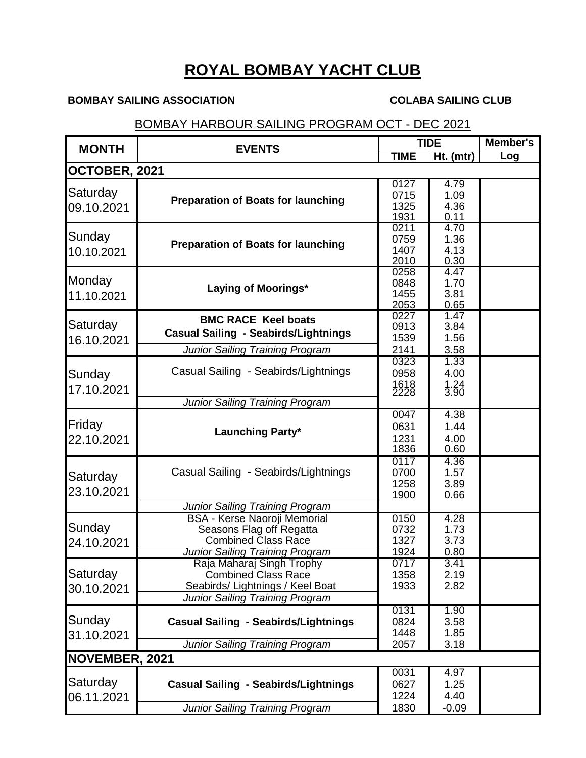## **ROYAL BOMBAY YACHT CLUB**

## **BOMBAY SAILING ASSOCIATION COLABA SAILING CLUB**

## BOMBAY HARBOUR SAILING PROGRAM OCT - DEC 2021

| <b>MONTH</b>           | <b>EVENTS</b>                                           | <b>TIDE</b>  |              | <b>Member's</b> |  |  |  |  |
|------------------------|---------------------------------------------------------|--------------|--------------|-----------------|--|--|--|--|
|                        |                                                         | <b>TIME</b>  | Ht. (mtr)    | Log             |  |  |  |  |
| OCTOBER, 2021          |                                                         |              |              |                 |  |  |  |  |
|                        |                                                         | 0127         | 4.79         |                 |  |  |  |  |
| Saturday<br>09.10.2021 | <b>Preparation of Boats for launching</b>               | 0715         | 1.09         |                 |  |  |  |  |
|                        |                                                         | 1325         | 4.36         |                 |  |  |  |  |
|                        |                                                         | 1931<br>0211 | 0.11<br>4.70 |                 |  |  |  |  |
| Sunday                 | <b>Preparation of Boats for launching</b>               | 0759         | 1.36         |                 |  |  |  |  |
| 10.10.2021             |                                                         | 1407         | 4.13         |                 |  |  |  |  |
|                        |                                                         | 2010         | 0.30         |                 |  |  |  |  |
|                        | Laying of Moorings*                                     | 0258         | 4.47         |                 |  |  |  |  |
| Monday                 |                                                         | 0848         | 1.70         |                 |  |  |  |  |
| 11.10.2021             |                                                         | 1455         | 3.81         |                 |  |  |  |  |
|                        |                                                         | 2053         | 0.65         |                 |  |  |  |  |
| Saturday               | <b>BMC RACE Keel boats</b>                              | 0227<br>0913 | 1.47<br>3.84 |                 |  |  |  |  |
|                        | <b>Casual Sailing - Seabirds/Lightnings</b>             | 1539         | 1.56         |                 |  |  |  |  |
| 16.10.2021             | <b>Junior Sailing Training Program</b>                  | 2141         | 3.58         |                 |  |  |  |  |
|                        |                                                         | 0323         | 1.33         |                 |  |  |  |  |
| Sunday                 | Casual Sailing - Seabirds/Lightnings                    | 0958         | 4.00         |                 |  |  |  |  |
|                        |                                                         | 1618<br>2228 | 1.24<br>3.90 |                 |  |  |  |  |
| 17.10.2021             |                                                         |              |              |                 |  |  |  |  |
|                        | <b>Junior Sailing Training Program</b>                  |              |              |                 |  |  |  |  |
| Friday                 | Launching Party*                                        | 0047<br>0631 | 4.38<br>1.44 |                 |  |  |  |  |
|                        |                                                         | 1231         | 4.00         |                 |  |  |  |  |
| 22.10.2021             |                                                         | 1836         | 0.60         |                 |  |  |  |  |
|                        |                                                         | 0117         | 4.36         |                 |  |  |  |  |
|                        | Casual Sailing - Seabirds/Lightnings                    | 0700         | 1.57         |                 |  |  |  |  |
| Saturday               |                                                         | 1258         | 3.89         |                 |  |  |  |  |
| 23.10.2021             |                                                         | 1900         | 0.66         |                 |  |  |  |  |
|                        | Junior Sailing Training Program                         |              |              |                 |  |  |  |  |
|                        | <b>BSA - Kerse Naoroji Memorial</b>                     | 0150         | 4.28         |                 |  |  |  |  |
| Sunday                 | Seasons Flag off Regatta                                | 0732         | 1.73         |                 |  |  |  |  |
| 24.10.2021             | <b>Combined Class Race</b>                              | 1327         | 3.73         |                 |  |  |  |  |
|                        | <b>Junior Sailing Training Program</b>                  | 1924         | 0.80         |                 |  |  |  |  |
| Saturday               | Raja Maharaj Singh Trophy<br><b>Combined Class Race</b> | 0717<br>1358 | 3.41<br>2.19 |                 |  |  |  |  |
| 30.10.2021             | Seabirds/Lightnings / Keel Boat                         | 1933         | 2.82         |                 |  |  |  |  |
|                        | <b>Junior Sailing Training Program</b>                  |              |              |                 |  |  |  |  |
|                        |                                                         | 0131         | 1.90         |                 |  |  |  |  |
| Sunday                 | <b>Casual Sailing - Seabirds/Lightnings</b>             | 0824         | 3.58         |                 |  |  |  |  |
| 31.10.2021             |                                                         | 1448         | 1.85         |                 |  |  |  |  |
|                        | <b>Junior Sailing Training Program</b>                  | 2057         | 3.18         |                 |  |  |  |  |
|                        | NOVEMBER, 2021                                          |              |              |                 |  |  |  |  |
| Saturday<br>06.11.2021 | <b>Casual Sailing - Seabirds/Lightnings</b>             | 0031         | 4.97         |                 |  |  |  |  |
|                        |                                                         | 0627         | 1.25         |                 |  |  |  |  |
|                        |                                                         | 1224         | 4.40         |                 |  |  |  |  |
|                        | Junior Sailing Training Program                         | 1830         | $-0.09$      |                 |  |  |  |  |
|                        |                                                         |              |              |                 |  |  |  |  |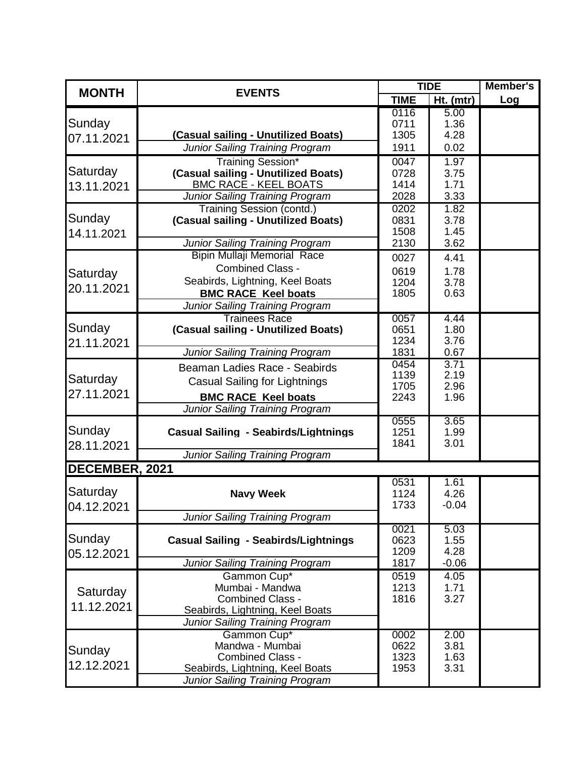| <b>MONTH</b>           | <b>EVENTS</b>                                                       | <b>TIDE</b>  |              | Member's |
|------------------------|---------------------------------------------------------------------|--------------|--------------|----------|
|                        |                                                                     | <b>TIME</b>  | Ht. (mtr)    | Log      |
| Sunday<br>07.11.2021   |                                                                     | 0116         | 5.00         |          |
|                        |                                                                     | 0711         | 1.36         |          |
|                        | (Casual sailing - Unutilized Boats)                                 | 1305         | 4.28         |          |
|                        | <b>Junior Sailing Training Program</b>                              | 1911         | 0.02         |          |
| Saturday<br>13.11.2021 | Training Session*                                                   | 0047         | 1.97         |          |
|                        | (Casual sailing - Unutilized Boats)<br><b>BMC RACE - KEEL BOATS</b> | 0728<br>1414 | 3.75<br>1.71 |          |
|                        | Junior Sailing Training Program                                     | 2028         | 3.33         |          |
|                        | <b>Training Session (contd.)</b>                                    | 0202         | 1.82         |          |
| Sunday                 | (Casual sailing - Unutilized Boats)                                 | 0831         | 3.78         |          |
| 14.11.2021             |                                                                     | 1508         | 1.45         |          |
|                        | Junior Sailing Training Program                                     | 2130         | 3.62         |          |
|                        | <b>Bipin Mullaji Memorial Race</b>                                  | 0027         | 4.41         |          |
| Saturday               | <b>Combined Class -</b>                                             | 0619         | 1.78         |          |
| 20.11.2021             | Seabirds, Lightning, Keel Boats                                     | 1204         | 3.78         |          |
|                        | <b>BMC RACE Keel boats</b>                                          | 1805         | 0.63         |          |
|                        | <b>Junior Sailing Training Program</b>                              |              |              |          |
| Sunday                 | <b>Trainees Race</b>                                                | 0057         | 4.44         |          |
|                        | (Casual sailing - Unutilized Boats)                                 | 0651<br>1234 | 1.80<br>3.76 |          |
| 21.11.2021             | <b>Junior Sailing Training Program</b>                              | 1831         | 0.67         |          |
|                        |                                                                     | 0454         | 3.71         |          |
| Saturday               | Beaman Ladies Race - Seabirds                                       | 1139         | 2.19         |          |
|                        | <b>Casual Sailing for Lightnings</b>                                | 1705         | 2.96         |          |
| 27.11.2021             | <b>BMC RACE Keel boats</b>                                          | 2243         | 1.96         |          |
|                        | Junior Sailing Training Program                                     |              |              |          |
| Sunday                 | <b>Casual Sailing - Seabirds/Lightnings</b>                         | 0555<br>1251 | 3.65<br>1.99 |          |
| 28.11.2021             |                                                                     | 1841         | 3.01         |          |
|                        | <b>Junior Sailing Training Program</b>                              |              |              |          |
| DECEMBER, 2021         |                                                                     |              |              |          |
|                        |                                                                     | 0531         | 1.61         |          |
| Saturday<br>04.12.2021 | <b>Navy Week</b>                                                    | 1124         | 4.26         |          |
|                        |                                                                     | 1733         | $-0.04$      |          |
|                        | Junior Sailing Training Program                                     |              |              |          |
| Sunday                 | <b>Casual Sailing - Seabirds/Lightnings</b>                         | 0021<br>0623 | 5.03<br>1.55 |          |
| 05.12.2021             |                                                                     | 1209         | 4.28         |          |
|                        | <b>Junior Sailing Training Program</b>                              | 1817         | $-0.06$      |          |
|                        | Gammon Cup*                                                         | 0519         | 4.05         |          |
|                        | Mumbai - Mandwa                                                     | 1213         | 1.71         |          |
| Saturday<br>11.12.2021 | <b>Combined Class -</b>                                             | 1816         | 3.27         |          |
|                        | Seabirds, Lightning, Keel Boats                                     |              |              |          |
|                        | <b>Junior Sailing Training Program</b>                              |              |              |          |
| Sunday<br>12.12.2021   | Gammon Cup*                                                         | 0002         | 2.00         |          |
|                        | Mandwa - Mumbai<br><b>Combined Class -</b>                          | 0622<br>1323 | 3.81         |          |
|                        | Seabirds, Lightning, Keel Boats                                     | 1953         | 1.63<br>3.31 |          |
|                        | <b>Junior Sailing Training Program</b>                              |              |              |          |
|                        |                                                                     |              |              |          |